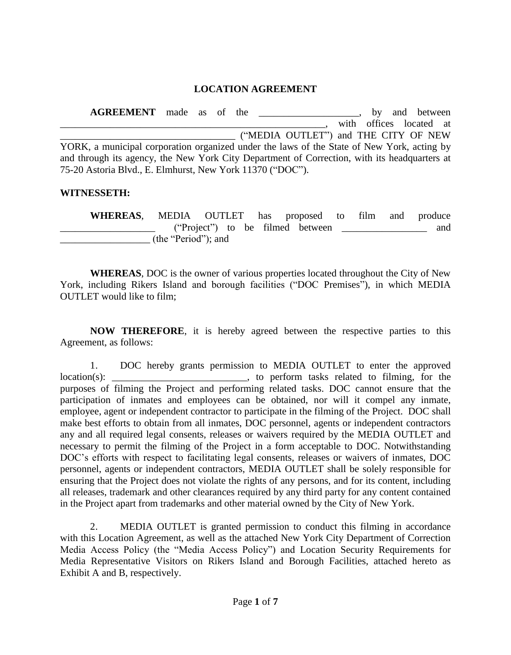## **LOCATION AGREEMENT**

**AGREEMENT** made as of the \_\_\_\_\_\_\_\_\_\_\_\_\_\_\_\_, by and between with offices located at \_\_\_\_\_\_\_\_\_\_\_\_\_\_\_\_\_\_\_\_\_\_\_\_\_\_\_\_\_\_\_\_\_\_\_ ("MEDIA OUTLET") and THE CITY OF NEW YORK, a municipal corporation organized under the laws of the State of New York, acting by and through its agency, the New York City Department of Correction, with its headquarters at 75-20 Astoria Blvd., E. Elmhurst, New York 11370 ("DOC").

## **WITNESSETH:**

**WHEREAS**, MEDIA OUTLET has proposed to film and produce \_\_\_\_\_\_\_\_\_\_\_\_\_\_\_\_\_\_\_ ("Project") to be filmed between \_\_\_\_\_\_\_\_\_\_\_\_\_\_\_\_\_ and (the "Period"); and

**WHEREAS**, DOC is the owner of various properties located throughout the City of New York, including Rikers Island and borough facilities ("DOC Premises"), in which MEDIA OUTLET would like to film;

**NOW THEREFORE**, it is hereby agreed between the respective parties to this Agreement, as follows:

1. DOC hereby grants permission to MEDIA OUTLET to enter the approved location(s): to perform tasks related to filming, for the purposes of filming the Project and performing related tasks. DOC cannot ensure that the participation of inmates and employees can be obtained, nor will it compel any inmate, employee, agent or independent contractor to participate in the filming of the Project. DOC shall make best efforts to obtain from all inmates, DOC personnel, agents or independent contractors any and all required legal consents, releases or waivers required by the MEDIA OUTLET and necessary to permit the filming of the Project in a form acceptable to DOC. Notwithstanding DOC's efforts with respect to facilitating legal consents, releases or waivers of inmates, DOC personnel, agents or independent contractors, MEDIA OUTLET shall be solely responsible for ensuring that the Project does not violate the rights of any persons, and for its content, including all releases, trademark and other clearances required by any third party for any content contained in the Project apart from trademarks and other material owned by the City of New York.

2. MEDIA OUTLET is granted permission to conduct this filming in accordance with this Location Agreement, as well as the attached New York City Department of Correction Media Access Policy (the "Media Access Policy") and Location Security Requirements for Media Representative Visitors on Rikers Island and Borough Facilities, attached hereto as Exhibit A and B, respectively.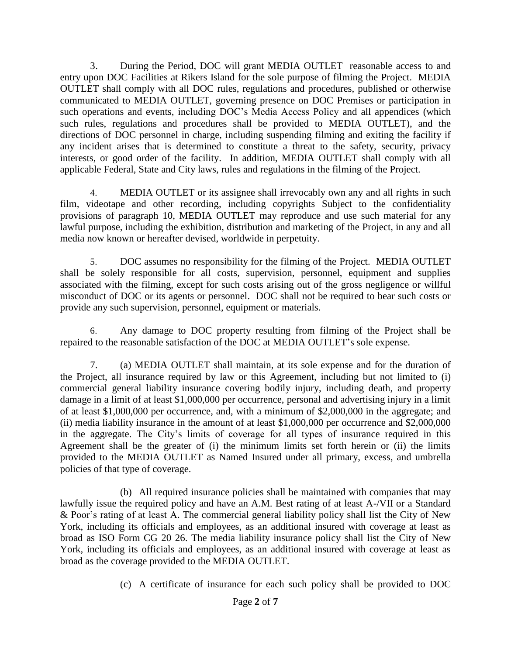3. During the Period, DOC will grant MEDIA OUTLET reasonable access to and entry upon DOC Facilities at Rikers Island for the sole purpose of filming the Project. MEDIA OUTLET shall comply with all DOC rules, regulations and procedures, published or otherwise communicated to MEDIA OUTLET, governing presence on DOC Premises or participation in such operations and events, including DOC's Media Access Policy and all appendices (which such rules, regulations and procedures shall be provided to MEDIA OUTLET), and the directions of DOC personnel in charge, including suspending filming and exiting the facility if any incident arises that is determined to constitute a threat to the safety, security, privacy interests, or good order of the facility. In addition, MEDIA OUTLET shall comply with all applicable Federal, State and City laws, rules and regulations in the filming of the Project.

4. MEDIA OUTLET or its assignee shall irrevocably own any and all rights in such film, videotape and other recording, including copyrights Subject to the confidentiality provisions of paragraph 10, MEDIA OUTLET may reproduce and use such material for any lawful purpose, including the exhibition, distribution and marketing of the Project, in any and all media now known or hereafter devised, worldwide in perpetuity.

5. DOC assumes no responsibility for the filming of the Project. MEDIA OUTLET shall be solely responsible for all costs, supervision, personnel, equipment and supplies associated with the filming, except for such costs arising out of the gross negligence or willful misconduct of DOC or its agents or personnel. DOC shall not be required to bear such costs or provide any such supervision, personnel, equipment or materials.

6. Any damage to DOC property resulting from filming of the Project shall be repaired to the reasonable satisfaction of the DOC at MEDIA OUTLET's sole expense.

7. (a) MEDIA OUTLET shall maintain, at its sole expense and for the duration of the Project, all insurance required by law or this Agreement, including but not limited to (i) commercial general liability insurance covering bodily injury, including death, and property damage in a limit of at least \$1,000,000 per occurrence, personal and advertising injury in a limit of at least \$1,000,000 per occurrence, and, with a minimum of \$2,000,000 in the aggregate; and (ii) media liability insurance in the amount of at least \$1,000,000 per occurrence and \$2,000,000 in the aggregate. The City's limits of coverage for all types of insurance required in this Agreement shall be the greater of (i) the minimum limits set forth herein or (ii) the limits provided to the MEDIA OUTLET as Named Insured under all primary, excess, and umbrella policies of that type of coverage.

(b) All required insurance policies shall be maintained with companies that may lawfully issue the required policy and have an A.M. Best rating of at least A-/VII or a Standard & Poor's rating of at least A. The commercial general liability policy shall list the City of New York, including its officials and employees, as an additional insured with coverage at least as broad as ISO Form CG 20 26. The media liability insurance policy shall list the City of New York, including its officials and employees, as an additional insured with coverage at least as broad as the coverage provided to the MEDIA OUTLET.

(c) A certificate of insurance for each such policy shall be provided to DOC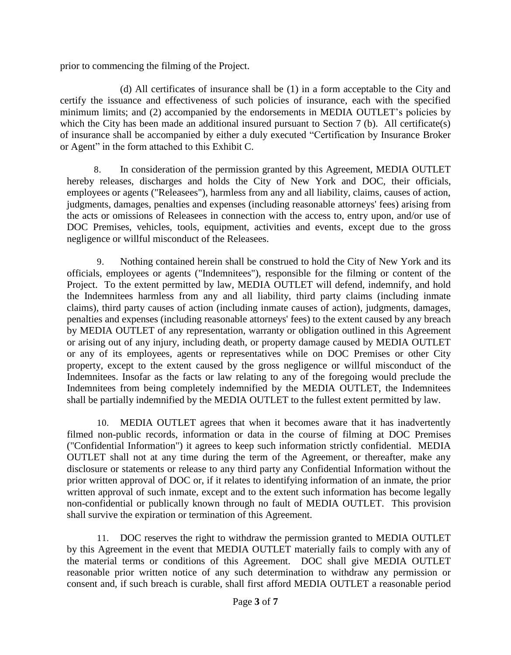prior to commencing the filming of the Project.

(d) All certificates of insurance shall be (1) in a form acceptable to the City and certify the issuance and effectiveness of such policies of insurance, each with the specified minimum limits; and (2) accompanied by the endorsements in MEDIA OUTLET's policies by which the City has been made an additional insured pursuant to Section 7 (b). All certificate(s) of insurance shall be accompanied by either a duly executed "Certification by Insurance Broker or Agent" in the form attached to this Exhibit C.

8. In consideration of the permission granted by this Agreement, MEDIA OUTLET hereby releases, discharges and holds the City of New York and DOC, their officials, employees or agents ("Releasees"), harmless from any and all liability, claims, causes of action, judgments, damages, penalties and expenses (including reasonable attorneys' fees) arising from the acts or omissions of Releasees in connection with the access to, entry upon, and/or use of DOC Premises, vehicles, tools, equipment, activities and events, except due to the gross negligence or willful misconduct of the Releasees.

9. Nothing contained herein shall be construed to hold the City of New York and its officials, employees or agents ("Indemnitees"), responsible for the filming or content of the Project. To the extent permitted by law, MEDIA OUTLET will defend, indemnify, and hold the Indemnitees harmless from any and all liability, third party claims (including inmate claims), third party causes of action (including inmate causes of action), judgments, damages, penalties and expenses (including reasonable attorneys' fees) to the extent caused by any breach by MEDIA OUTLET of any representation, warranty or obligation outlined in this Agreement or arising out of any injury, including death, or property damage caused by MEDIA OUTLET or any of its employees, agents or representatives while on DOC Premises or other City property, except to the extent caused by the gross negligence or willful misconduct of the Indemnitees. Insofar as the facts or law relating to any of the foregoing would preclude the Indemnitees from being completely indemnified by the MEDIA OUTLET, the Indemnitees shall be partially indemnified by the MEDIA OUTLET to the fullest extent permitted by law.

10. MEDIA OUTLET agrees that when it becomes aware that it has inadvertently filmed non-public records, information or data in the course of filming at DOC Premises ("Confidential Information") it agrees to keep such information strictly confidential. MEDIA OUTLET shall not at any time during the term of the Agreement, or thereafter, make any disclosure or statements or release to any third party any Confidential Information without the prior written approval of DOC or, if it relates to identifying information of an inmate, the prior written approval of such inmate, except and to the extent such information has become legally non-confidential or publically known through no fault of MEDIA OUTLET. This provision shall survive the expiration or termination of this Agreement.

11. DOC reserves the right to withdraw the permission granted to MEDIA OUTLET by this Agreement in the event that MEDIA OUTLET materially fails to comply with any of the material terms or conditions of this Agreement. DOC shall give MEDIA OUTLET reasonable prior written notice of any such determination to withdraw any permission or consent and, if such breach is curable, shall first afford MEDIA OUTLET a reasonable period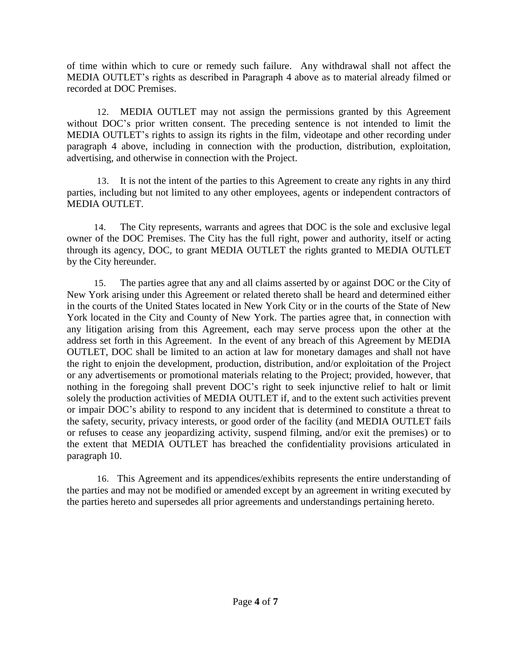of time within which to cure or remedy such failure. Any withdrawal shall not affect the MEDIA OUTLET's rights as described in Paragraph 4 above as to material already filmed or recorded at DOC Premises.

12. MEDIA OUTLET may not assign the permissions granted by this Agreement without DOC's prior written consent. The preceding sentence is not intended to limit the MEDIA OUTLET's rights to assign its rights in the film, videotape and other recording under paragraph 4 above, including in connection with the production, distribution, exploitation, advertising, and otherwise in connection with the Project.

13. It is not the intent of the parties to this Agreement to create any rights in any third parties, including but not limited to any other employees, agents or independent contractors of MEDIA OUTLET.

14. The City represents, warrants and agrees that DOC is the sole and exclusive legal owner of the DOC Premises. The City has the full right, power and authority, itself or acting through its agency, DOC, to grant MEDIA OUTLET the rights granted to MEDIA OUTLET by the City hereunder.

15. The parties agree that any and all claims asserted by or against DOC or the City of New York arising under this Agreement or related thereto shall be heard and determined either in the courts of the United States located in New York City or in the courts of the State of New York located in the City and County of New York. The parties agree that, in connection with any litigation arising from this Agreement, each may serve process upon the other at the address set forth in this Agreement. In the event of any breach of this Agreement by MEDIA OUTLET, DOC shall be limited to an action at law for monetary damages and shall not have the right to enjoin the development, production, distribution, and/or exploitation of the Project or any advertisements or promotional materials relating to the Project; provided, however, that nothing in the foregoing shall prevent DOC's right to seek injunctive relief to halt or limit solely the production activities of MEDIA OUTLET if, and to the extent such activities prevent or impair DOC's ability to respond to any incident that is determined to constitute a threat to the safety, security, privacy interests, or good order of the facility (and MEDIA OUTLET fails or refuses to cease any jeopardizing activity, suspend filming, and/or exit the premises) or to the extent that MEDIA OUTLET has breached the confidentiality provisions articulated in paragraph 10.

16. This Agreement and its appendices/exhibits represents the entire understanding of the parties and may not be modified or amended except by an agreement in writing executed by the parties hereto and supersedes all prior agreements and understandings pertaining hereto.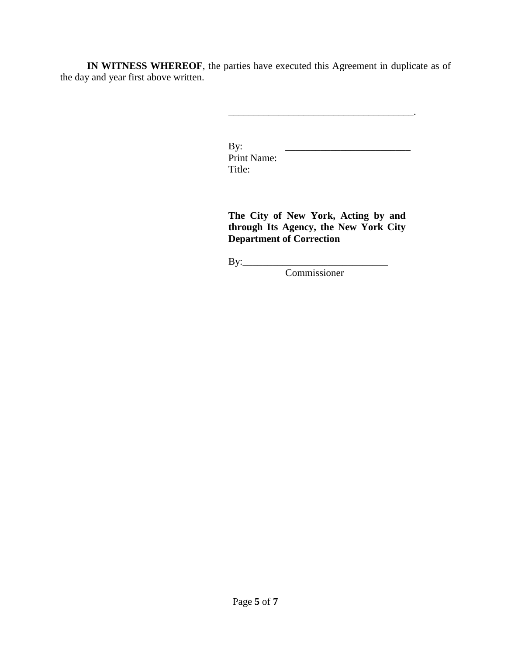**IN WITNESS WHEREOF**, the parties have executed this Agreement in duplicate as of the day and year first above written.

> By: \_\_\_\_\_\_\_\_\_\_\_\_\_\_\_\_\_\_\_\_\_\_\_\_\_ Print Name: Title:

**The City of New York, Acting by and through Its Agency, the New York City Department of Correction**

By:\_\_\_\_\_\_\_\_\_\_\_\_\_\_\_\_\_\_\_\_\_\_\_\_\_\_\_\_\_

Commissioner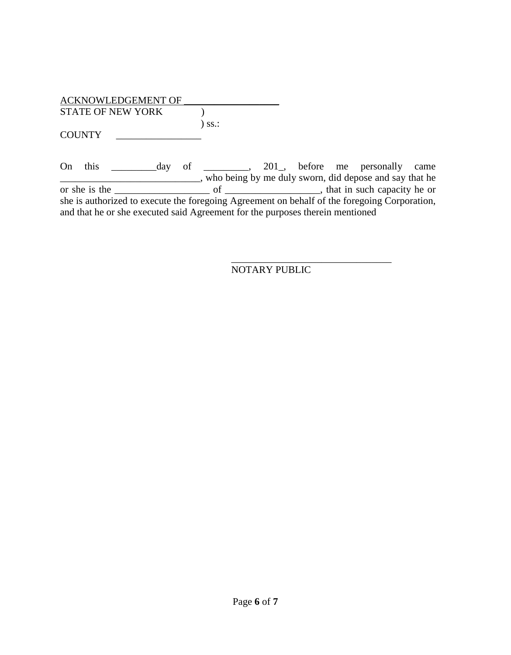| ACKNOWLEDGEMENT OF       |                     |  |
|--------------------------|---------------------|--|
| <b>STATE OF NEW YORK</b> |                     |  |
|                          | $)$ SS $\therefore$ |  |
| <b>COUNTY</b>            |                     |  |

On this \_\_\_\_\_\_\_\_\_day of \_\_\_\_\_\_\_\_\_, 201\_, before me personally came \_\_\_\_\_\_\_\_\_\_\_\_\_\_\_\_\_\_\_\_\_\_\_\_\_\_\_\_, who being by me duly sworn, did depose and say that he or she is the \_\_\_\_\_\_\_\_\_\_\_\_\_\_\_\_\_\_\_ of \_\_\_\_\_\_\_\_\_\_\_\_\_\_\_\_\_\_\_, that in such capacity he or she is authorized to execute the foregoing Agreement on behalf of the foregoing Corporation, and that he or she executed said Agreement for the purposes therein mentioned

> \_\_\_\_\_\_\_\_\_\_\_\_\_\_\_\_\_\_\_\_\_\_\_\_\_\_\_\_\_\_\_\_ NOTARY PUBLIC